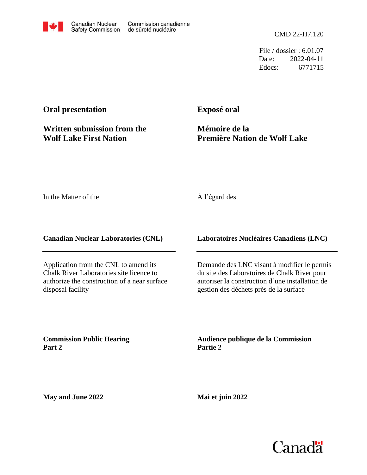CMD 22-H7.120

File / dossier : 6.01.07 Date: 2022-04-11 Edocs: 6771715

## **Oral presentation**

**Written submission from the Wolf Lake First Nation**

**Exposé oral**

**Mémoire de la Première Nation de Wolf Lake**

In the Matter of the

### À l'égard des

**Canadian Nuclear Laboratories (CNL)**

Application from the CNL to amend its Chalk River Laboratories site licence to authorize the construction of a near surface disposal facility

**Laboratoires Nucléaires Canadiens (LNC)**

Demande des LNC visant à modifier le permis du site des Laboratoires de Chalk River pour autoriser la construction d'une installation de gestion des déchets près de la surface

**Commission Public Hearing Part 2**

**Audience publique de la Commission Partie 2**

**May and June 2022**

**Mai et juin 2022**

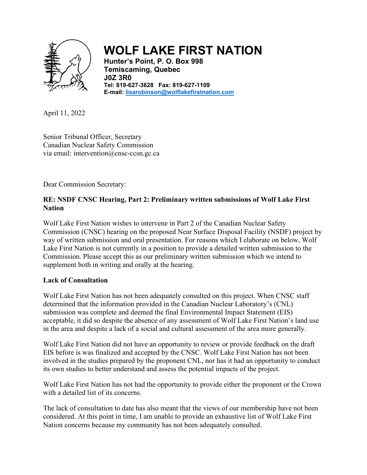

# **WOLF LAKE FIRST NATION**

**Hunter's Point, P. O. Box 998 Temiscaming, Quebec J0Z 3R0 Tel: 819-627-3628 Fax: 819-627-1109 E-mail: [lisarobinson@wolflakefirstnation.com](mailto:lisarobinson@wolflakefirstnation.com)**

April 11, 2022

Senior Tribunal Officer, Secretary Canadian Nuclear Safety Commission via email: intervention@cnsc-ccsn.gc.ca

Dear Commission Secretary:

#### **RE: NSDF CNSC Hearing, Part 2: Preliminary written submissions of Wolf Lake First Nation**

Wolf Lake First Nation wishes to intervene in Part 2 of the Canadian Nuclear Safety Commission (CNSC) hearing on the proposed Near Surface Disposal Facility (NSDF) project by way of written submission and oral presentation. For reasons which I elaborate on below, Wolf Lake First Nation is not currently in a position to provide a detailed written submission to the Commission. Please accept this as our preliminary written submission which we intend to supplement both in writing and orally at the hearing.

#### **Lack of Consultation**

Wolf Lake First Nation has not been adequately consulted on this project. When CNSC staff determined that the information provided in the Canadian Nuclear Laboratory's (CNL) submission was complete and deemed the final Environmental Impact Statement (EIS) acceptable, it did so despite the absence of any assessment of Wolf Lake First Nation's land use in the area and despite a lack of a social and cultural assessment of the area more generally.

Wolf Lake First Nation did not have an opportunity to review or provide feedback on the draft EIS before is was finalized and accepted by the CNSC. Wolf Lake First Nation has not been involved in the studies prepared by the proponent CNL, nor has it had an opportunity to conduct its own studies to better understand and assess the potential impacts of the project.

Wolf Lake First Nation has not had the opportunity to provide either the proponent or the Crown with a detailed list of its concerns.

The lack of consultation to date has also meant that the views of our membership have not been considered. At this point in time, I am unable to provide an exhaustive list of Wolf Lake First Nation concerns because my community has not been adequately consulted.